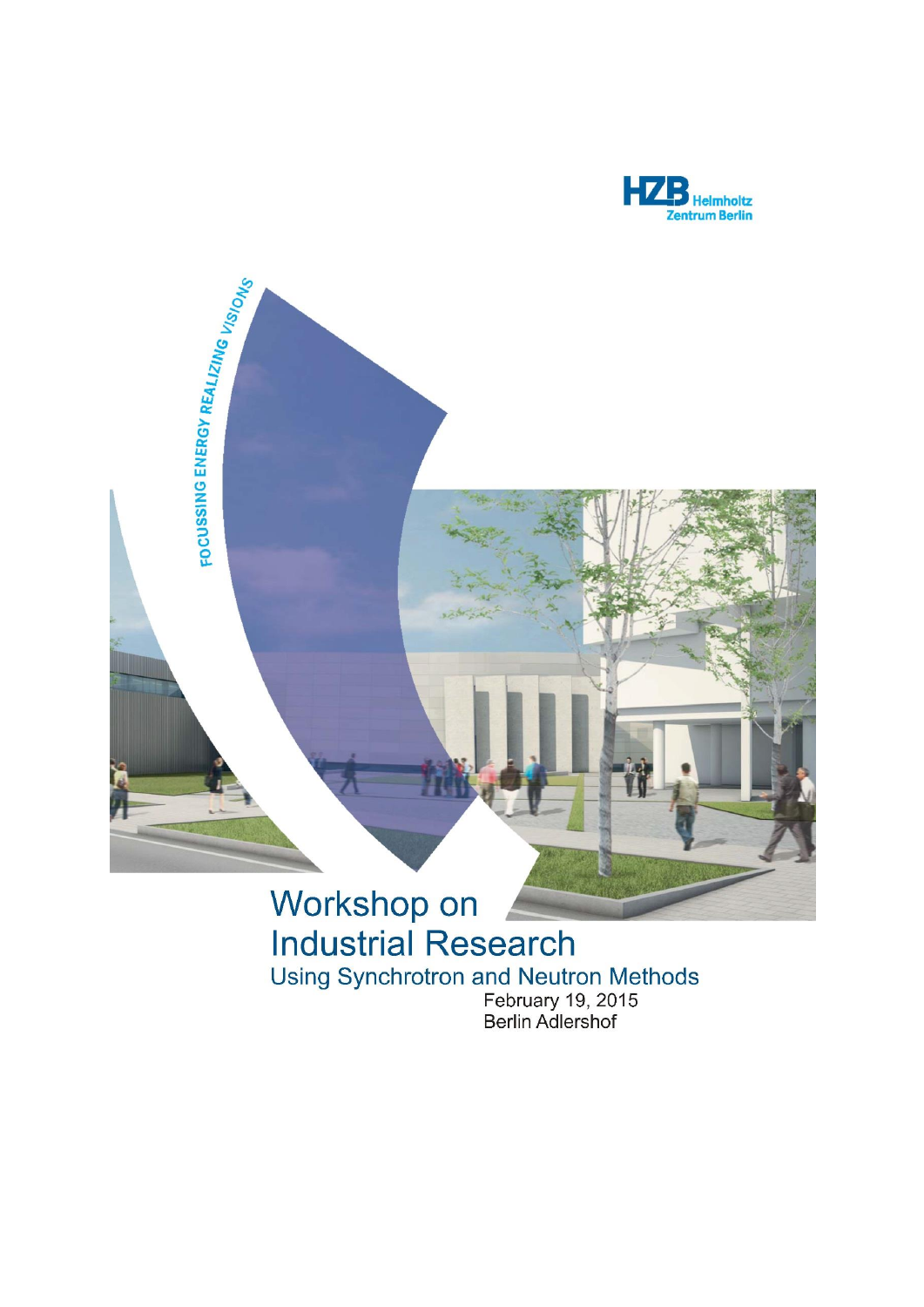



# Workshop on **Industrial Research** Using Synchrotron and Neutron Methods<br>February 19, 2015<br>Berlin Adlershof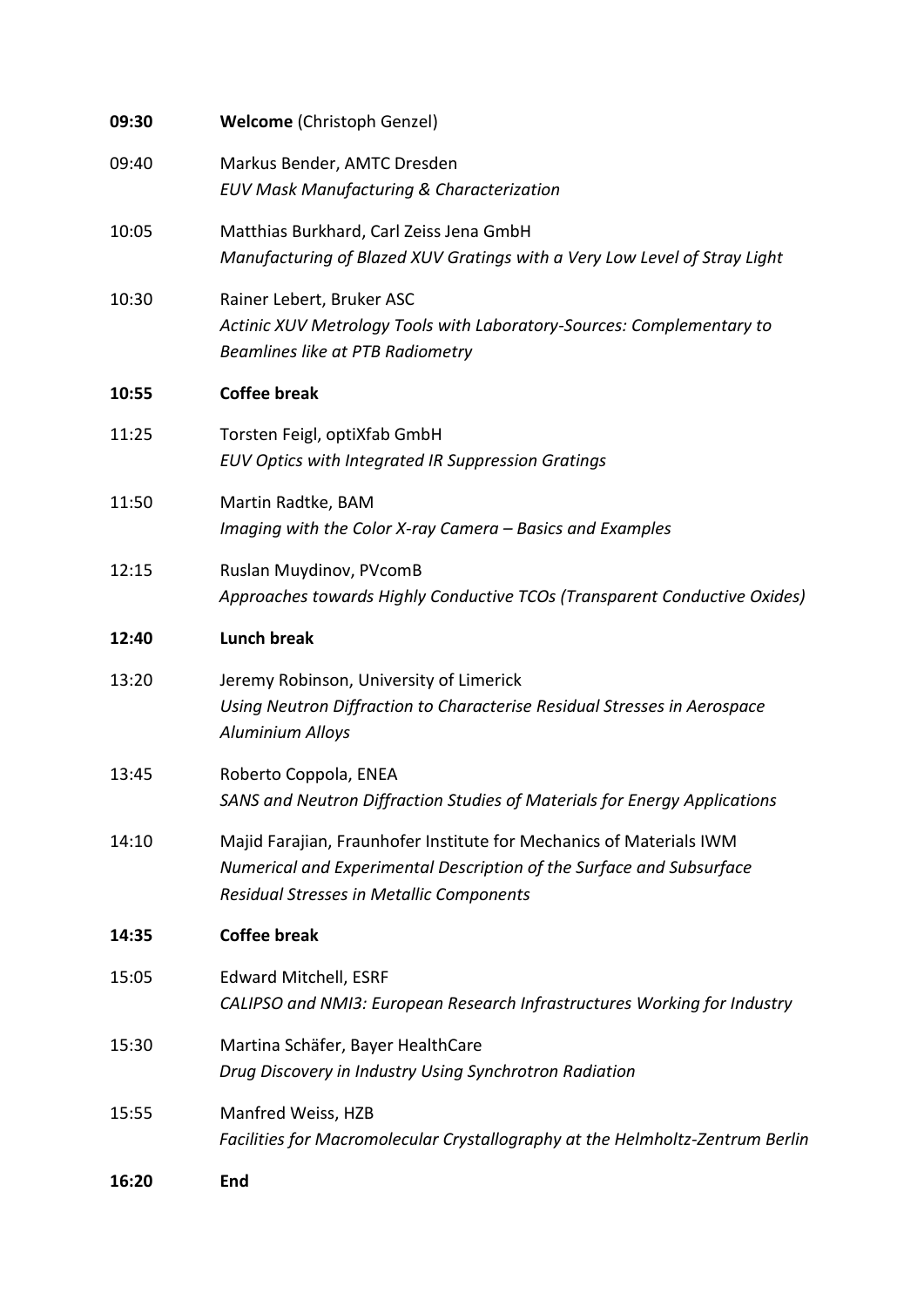| 09:30 | <b>Welcome (Christoph Genzel)</b>                                                                                                                                                       |
|-------|-----------------------------------------------------------------------------------------------------------------------------------------------------------------------------------------|
| 09:40 | Markus Bender, AMTC Dresden<br><b>EUV Mask Manufacturing &amp; Characterization</b>                                                                                                     |
| 10:05 | Matthias Burkhard, Carl Zeiss Jena GmbH<br>Manufacturing of Blazed XUV Gratings with a Very Low Level of Stray Light                                                                    |
| 10:30 | Rainer Lebert, Bruker ASC<br>Actinic XUV Metrology Tools with Laboratory-Sources: Complementary to<br>Beamlines like at PTB Radiometry                                                  |
| 10:55 | <b>Coffee break</b>                                                                                                                                                                     |
| 11:25 | Torsten Feigl, optiXfab GmbH<br>EUV Optics with Integrated IR Suppression Gratings                                                                                                      |
| 11:50 | Martin Radtke, BAM<br>Imaging with the Color X-ray Camera - Basics and Examples                                                                                                         |
| 12:15 | Ruslan Muydinov, PVcomB<br>Approaches towards Highly Conductive TCOs (Transparent Conductive Oxides)                                                                                    |
| 12:40 | <b>Lunch break</b>                                                                                                                                                                      |
| 13:20 | Jeremy Robinson, University of Limerick<br>Using Neutron Diffraction to Characterise Residual Stresses in Aerospace<br><b>Aluminium Alloys</b>                                          |
| 13:45 | Roberto Coppola, ENEA<br>SANS and Neutron Diffraction Studies of Materials for Energy Applications                                                                                      |
| 14:10 | Majid Farajian, Fraunhofer Institute for Mechanics of Materials IWM<br>Numerical and Experimental Description of the Surface and Subsurface<br>Residual Stresses in Metallic Components |
| 14:35 | <b>Coffee break</b>                                                                                                                                                                     |
| 15:05 | Edward Mitchell, ESRF<br>CALIPSO and NMI3: European Research Infrastructures Working for Industry                                                                                       |
| 15:30 | Martina Schäfer, Bayer HealthCare<br>Drug Discovery in Industry Using Synchrotron Radiation                                                                                             |
| 15:55 | Manfred Weiss, HZB<br>Facilities for Macromolecular Crystallography at the Helmholtz-Zentrum Berlin                                                                                     |
| 16:20 | End                                                                                                                                                                                     |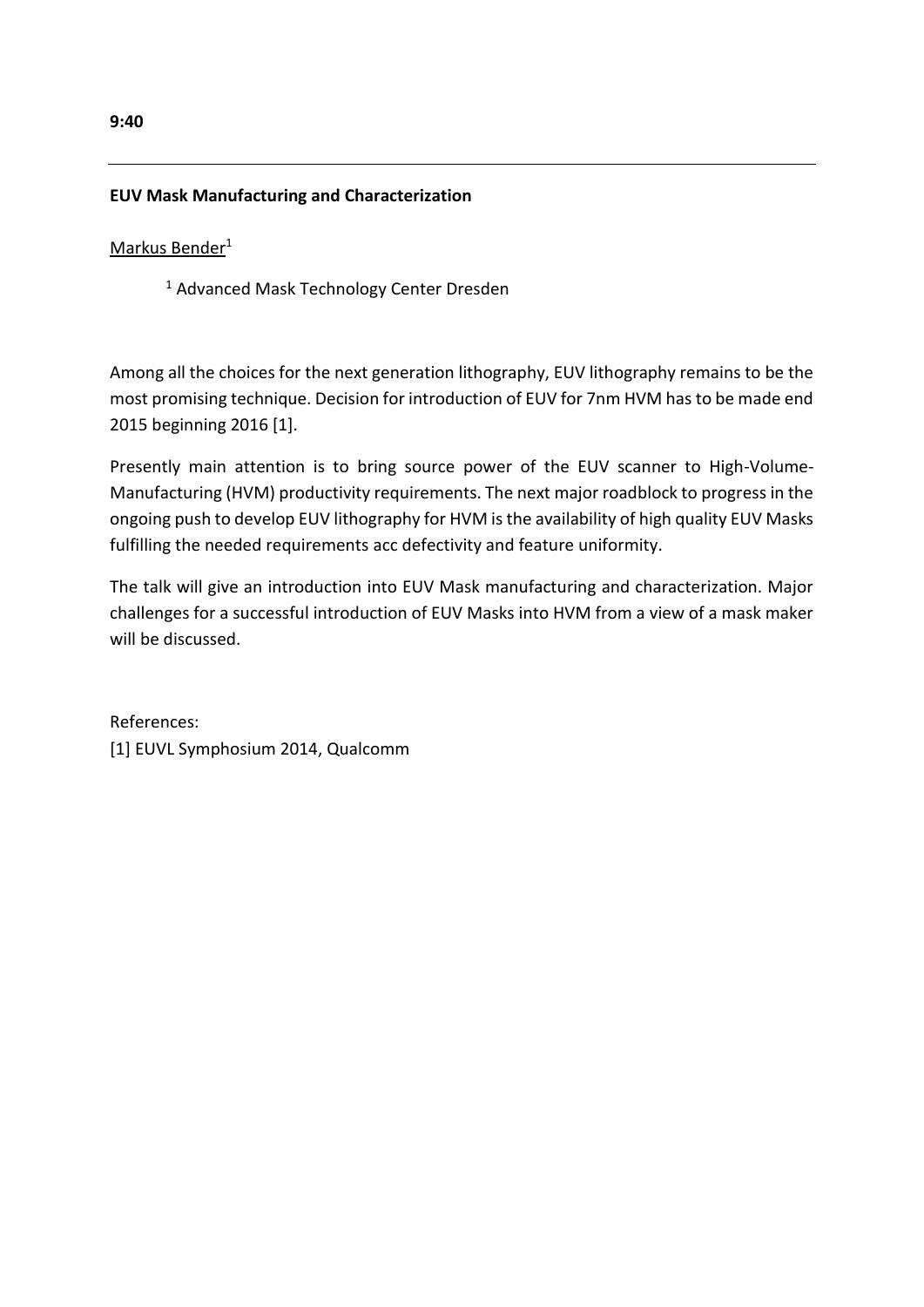# **EUV Mask Manufacturing and Characterization**

Markus Bender<sup>1</sup>

<sup>1</sup> Advanced Mask Technology Center Dresden

Among all the choices for the next generation lithography, EUV lithography remains to be the most promising technique. Decision for introduction of EUV for 7nm HVM has to be made end 2015 beginning 2016 [1].

Presently main attention is to bring source power of the EUV scanner to High-Volume-Manufacturing (HVM) productivity requirements. The next major roadblock to progress in the ongoing push to develop EUV lithography for HVM is the availability of high quality EUV Masks fulfilling the needed requirements acc defectivity and feature uniformity.

The talk will give an introduction into EUV Mask manufacturing and characterization. Major challenges for a successful introduction of EUV Masks into HVM from a view of a mask maker will be discussed.

References: [1] EUVL Symphosium 2014, Qualcomm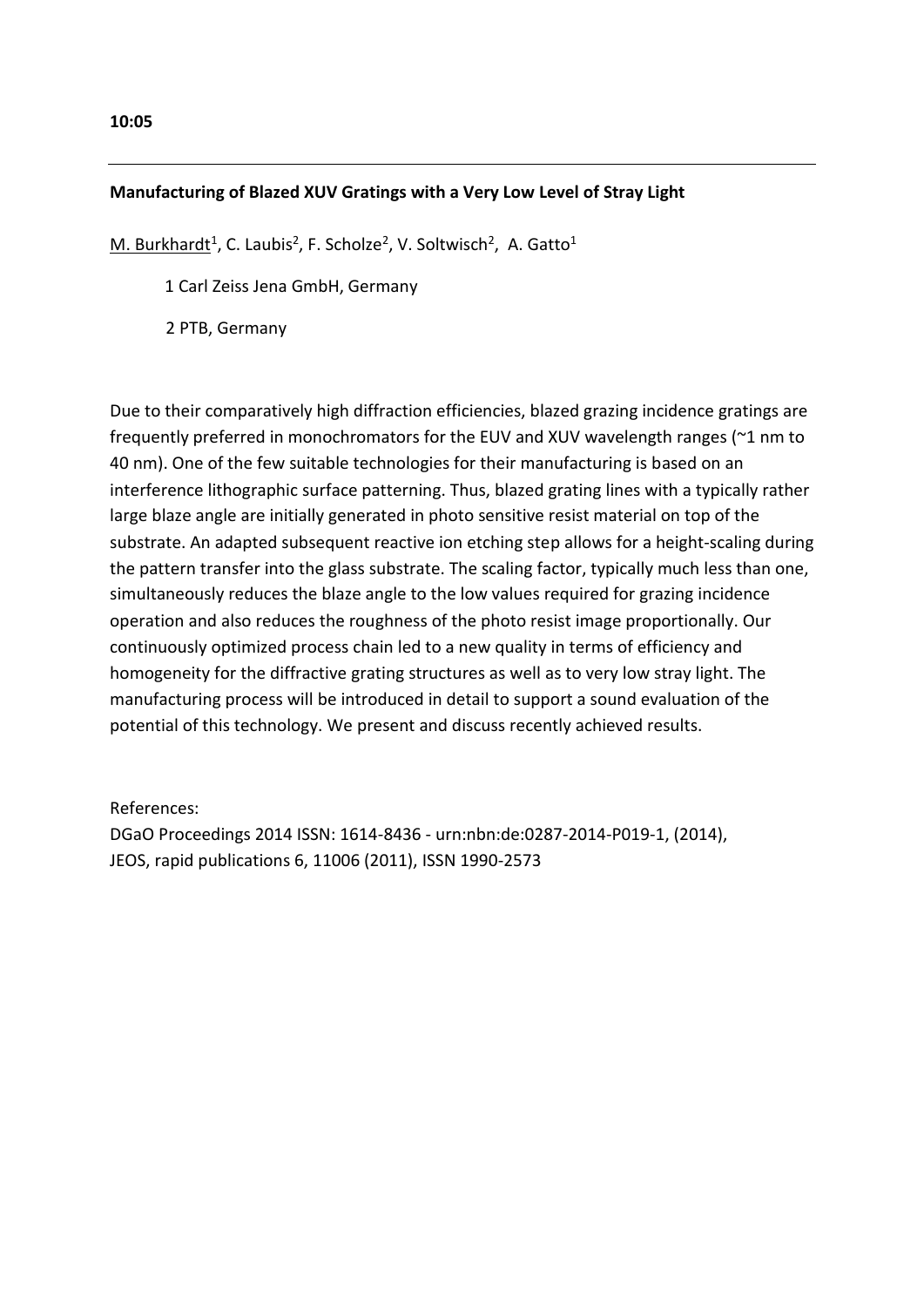# **Manufacturing of Blazed XUV Gratings with a Very Low Level of Stray Light**

M. Burkhardt<sup>1</sup>, C. Laubis<sup>2</sup>, F. Scholze<sup>2</sup>, V. Soltwisch<sup>2</sup>, A. Gatto<sup>1</sup>

1 Carl Zeiss Jena GmbH, Germany

2 PTB, Germany

Due to their comparatively high diffraction efficiencies, blazed grazing incidence gratings are frequently preferred in monochromators for the EUV and XUV wavelength ranges (~1 nm to 40 nm). One of the few suitable technologies for their manufacturing is based on an interference lithographic surface patterning. Thus, blazed grating lines with a typically rather large blaze angle are initially generated in photo sensitive resist material on top of the substrate. An adapted subsequent reactive ion etching step allows for a height-scaling during the pattern transfer into the glass substrate. The scaling factor, typically much less than one, simultaneously reduces the blaze angle to the low values required for grazing incidence operation and also reduces the roughness of the photo resist image proportionally. Our continuously optimized process chain led to a new quality in terms of efficiency and homogeneity for the diffractive grating structures as well as to very low stray light. The manufacturing process will be introduced in detail to support a sound evaluation of the potential of this technology. We present and discuss recently achieved results.

References:

DGaO Proceedings 2014 ISSN: 1614-8436 - urn:nbn:de:0287-2014-P019-1, (2014), JEOS, rapid publications 6, 11006 (2011), ISSN 1990-2573

#### **10:05**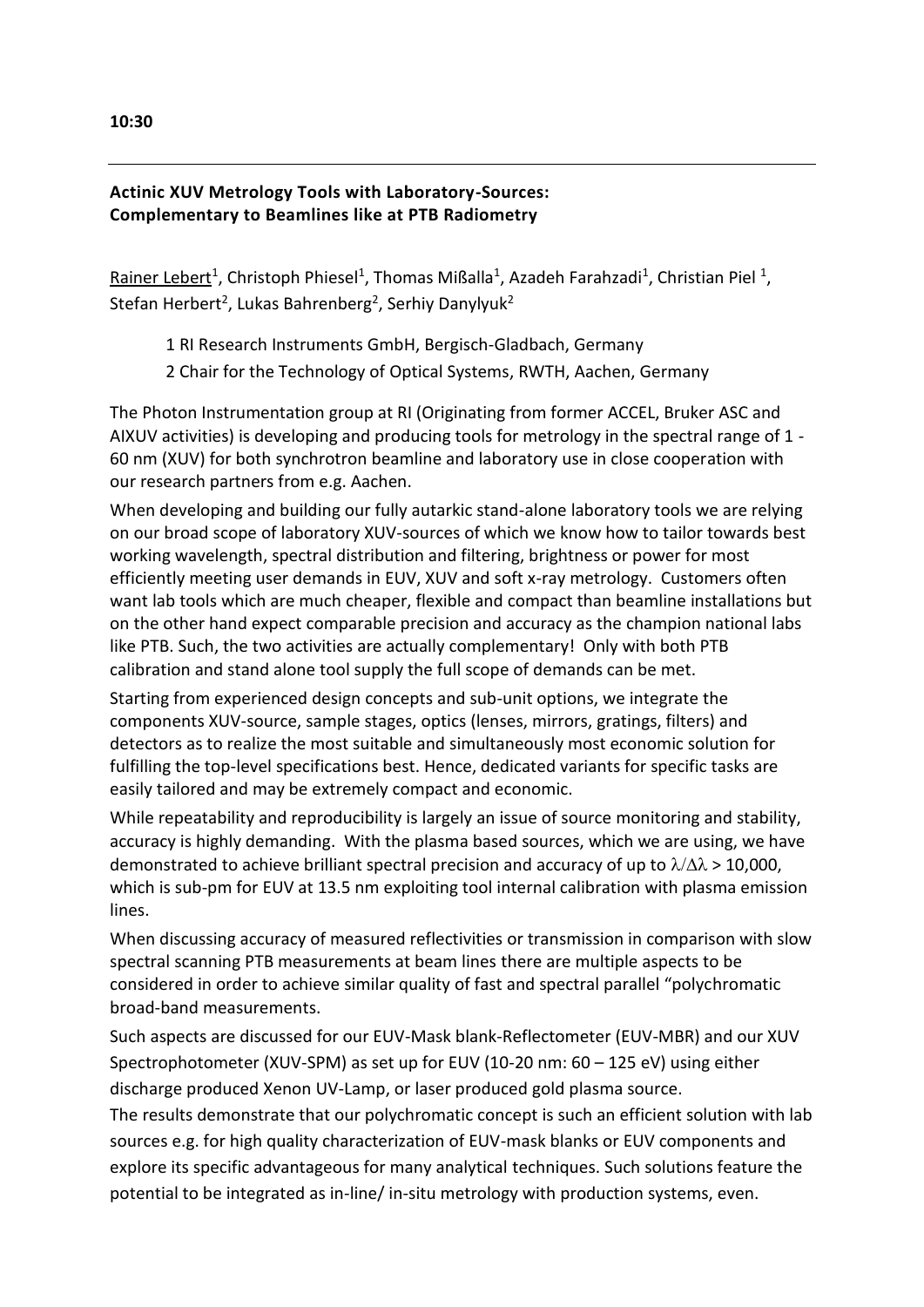# **Actinic XUV Metrology Tools with Laboratory-Sources: Complementary to Beamlines like at PTB Radiometry**

Rainer Lebert<sup>1</sup>, Christoph Phiesel<sup>1</sup>, Thomas Mißalla<sup>1</sup>, Azadeh Farahzadi<sup>1</sup>, Christian Piel<sup>1</sup>, Stefan Herbert<sup>2</sup>, Lukas Bahrenberg<sup>2</sup>, Serhiy Danylyuk<sup>2</sup>

1 RI Research Instruments GmbH, Bergisch-Gladbach, Germany

2 Chair for the Technology of Optical Systems, RWTH, Aachen, Germany

The Photon Instrumentation group at RI (Originating from former ACCEL, Bruker ASC and AIXUV activities) is developing and producing tools for metrology in the spectral range of 1 - 60 nm (XUV) for both synchrotron beamline and laboratory use in close cooperation with our research partners from e.g. Aachen.

When developing and building our fully autarkic stand-alone laboratory tools we are relying on our broad scope of laboratory XUV-sources of which we know how to tailor towards best working wavelength, spectral distribution and filtering, brightness or power for most efficiently meeting user demands in EUV, XUV and soft x-ray metrology. Customers often want lab tools which are much cheaper, flexible and compact than beamline installations but on the other hand expect comparable precision and accuracy as the champion national labs like PTB. Such, the two activities are actually complementary! Only with both PTB calibration and stand alone tool supply the full scope of demands can be met.

Starting from experienced design concepts and sub-unit options, we integrate the components XUV-source, sample stages, optics (lenses, mirrors, gratings, filters) and detectors as to realize the most suitable and simultaneously most economic solution for fulfilling the top-level specifications best. Hence, dedicated variants for specific tasks are easily tailored and may be extremely compact and economic.

While repeatability and reproducibility is largely an issue of source monitoring and stability, accuracy is highly demanding. With the plasma based sources, which we are using, we have demonstrated to achieve brilliant spectral precision and accuracy of up to  $\lambda/\Delta\lambda > 10,000$ , which is sub-pm for EUV at 13.5 nm exploiting tool internal calibration with plasma emission lines.

When discussing accuracy of measured reflectivities or transmission in comparison with slow spectral scanning PTB measurements at beam lines there are multiple aspects to be considered in order to achieve similar quality of fast and spectral parallel "polychromatic broad-band measurements.

Such aspects are discussed for our EUV-Mask blank-Reflectometer (EUV-MBR) and our XUV Spectrophotometer (XUV-SPM) as set up for EUV (10-20 nm: 60 – 125 eV) using either discharge produced Xenon UV-Lamp, or laser produced gold plasma source.

The results demonstrate that our polychromatic concept is such an efficient solution with lab sources e.g. for high quality characterization of EUV-mask blanks or EUV components and explore its specific advantageous for many analytical techniques. Such solutions feature the potential to be integrated as in-line/ in-situ metrology with production systems, even.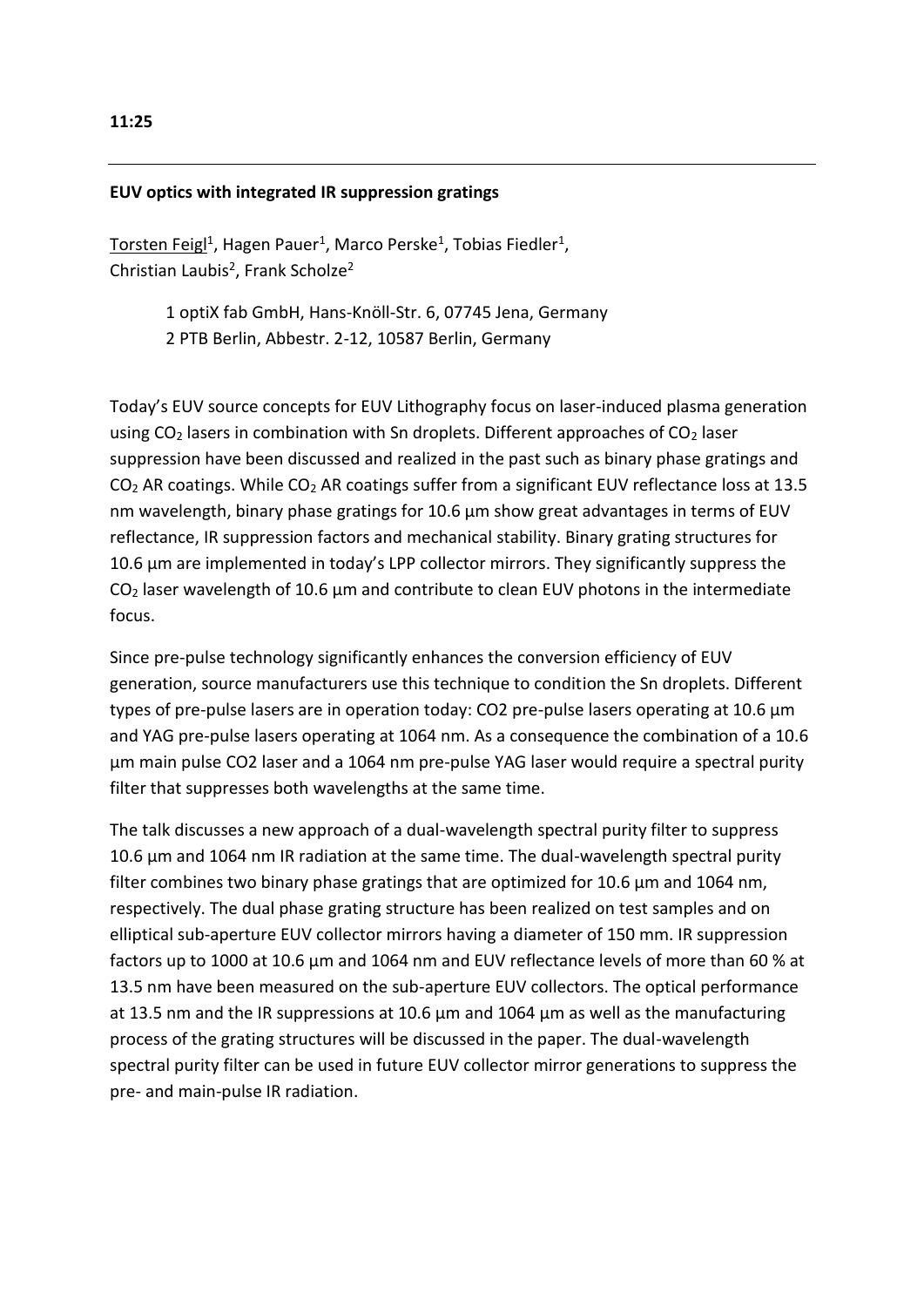## **EUV optics with integrated IR suppression gratings**

Torsten Feigl<sup>1</sup>, Hagen Pauer<sup>1</sup>, Marco Perske<sup>1</sup>, Tobias Fiedler<sup>1</sup>, Christian Laubis<sup>2</sup>, Frank Scholze<sup>2</sup>

> 1 optiX fab GmbH, Hans-Knöll-Str. 6, 07745 Jena, Germany 2 PTB Berlin, Abbestr. 2-12, 10587 Berlin, Germany

Today's EUV source concepts for EUV Lithography focus on laser-induced plasma generation using  $CO<sub>2</sub>$  lasers in combination with Sn droplets. Different approaches of  $CO<sub>2</sub>$  laser suppression have been discussed and realized in the past such as binary phase gratings and CO<sup>2</sup> AR coatings. While CO<sup>2</sup> AR coatings suffer from a significant EUV reflectance loss at 13.5 nm wavelength, binary phase gratings for 10.6  $\mu$ m show great advantages in terms of EUV reflectance, IR suppression factors and mechanical stability. Binary grating structures for 10.6 µm are implemented in today's LPP collector mirrors. They significantly suppress the  $CO<sub>2</sub>$  laser wavelength of 10.6  $\mu$ m and contribute to clean EUV photons in the intermediate focus.

Since pre-pulse technology significantly enhances the conversion efficiency of EUV generation, source manufacturers use this technique to condition the Sn droplets. Different types of pre-pulse lasers are in operation today: CO2 pre-pulse lasers operating at 10.6 µm and YAG pre-pulse lasers operating at 1064 nm. As a consequence the combination of a 10.6 µm main pulse CO2 laser and a 1064 nm pre-pulse YAG laser would require a spectral purity filter that suppresses both wavelengths at the same time.

The talk discusses a new approach of a dual-wavelength spectral purity filter to suppress 10.6 µm and 1064 nm IR radiation at the same time. The dual-wavelength spectral purity filter combines two binary phase gratings that are optimized for 10.6 µm and 1064 nm, respectively. The dual phase grating structure has been realized on test samples and on elliptical sub-aperture EUV collector mirrors having a diameter of 150 mm. IR suppression factors up to 1000 at 10.6 µm and 1064 nm and EUV reflectance levels of more than 60 % at 13.5 nm have been measured on the sub-aperture EUV collectors. The optical performance at 13.5 nm and the IR suppressions at 10.6 µm and 1064 µm as well as the manufacturing process of the grating structures will be discussed in the paper. The dual-wavelength spectral purity filter can be used in future EUV collector mirror generations to suppress the pre- and main-pulse IR radiation.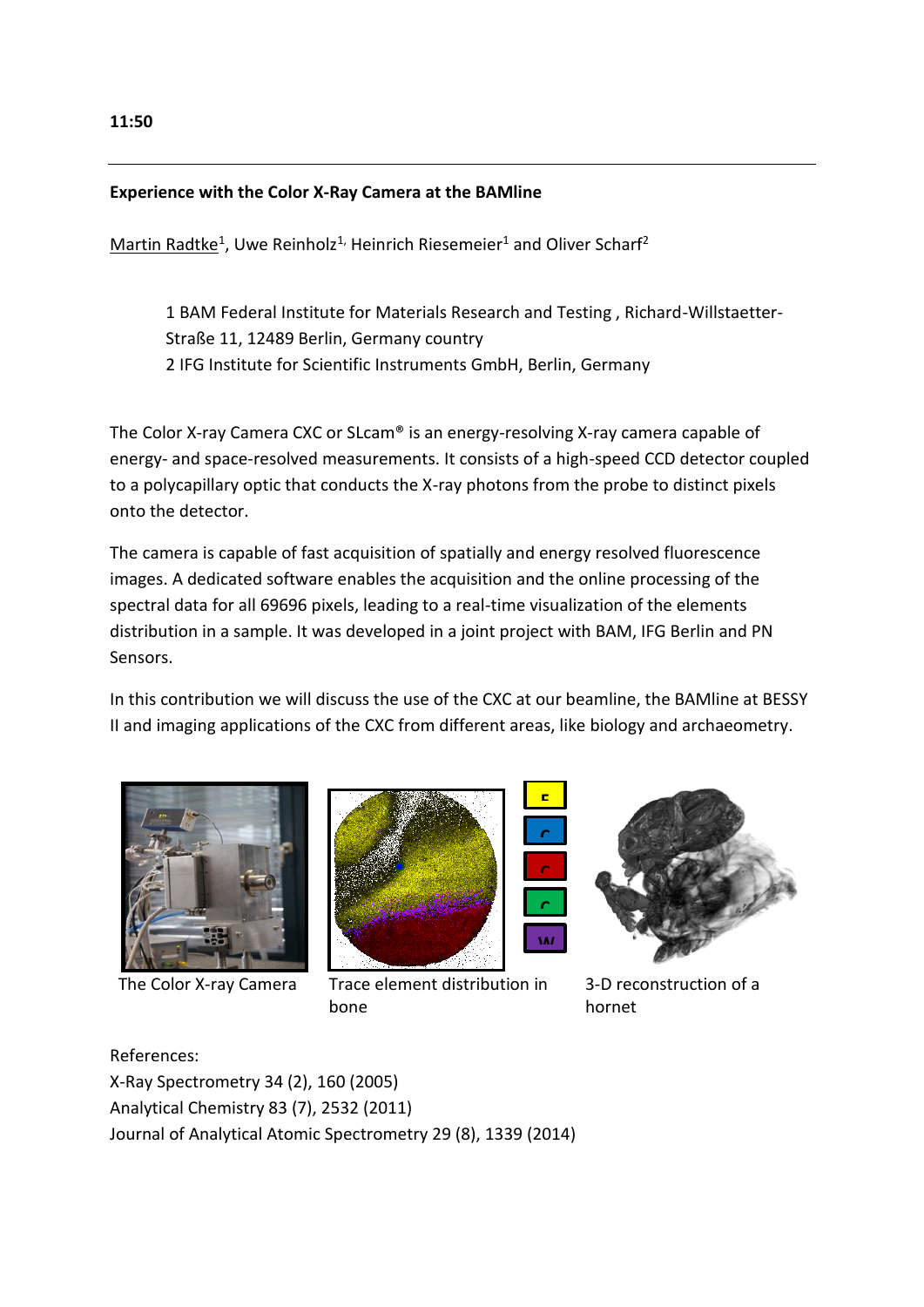#### **Experience with the Color X-Ray Camera at the BAMline**

 $M$ artin Radtke<sup>1</sup>, Uwe Reinholz<sup>1,</sup> Heinrich Riesemeier<sup>1</sup> and Oliver Scharf<sup>2</sup>

1 BAM Federal Institute for Materials Research and Testing , Richard-Willstaetter-Straße 11, 12489 Berlin, Germany country 2 IFG Institute for Scientific Instruments GmbH, Berlin, Germany

The Color X-ray Camera CXC or SLcam® is an energy-resolving X-ray camera capable of energy- and space-resolved measurements. It consists of a high-speed CCD detector coupled to a polycapillary optic that conducts the X-ray photons from the probe to distinct pixels onto the detector.

The camera is capable of fast acquisition of spatially and energy resolved fluorescence images. A dedicated software enables the acquisition and the online processing of the spectral data for all 69696 pixels, leading to a real-time visualization of the elements distribution in a sample. It was developed in a joint project with BAM, IFG Berlin and PN Sensors.

In this contribution we will discuss the use of the CXC at our beamline, the BAMline at BESSY II and imaging applications of the CXC from different areas, like biology and archaeometry.





The Color X-ray Camera Trace element distribution in bone



3-D reconstruction of a hornet

References:

X-Ray Spectrometry 34 (2), 160 (2005) Analytical Chemistry 83 (7), 2532 (2011) Journal of Analytical Atomic Spectrometry 29 (8), 1339 (2014)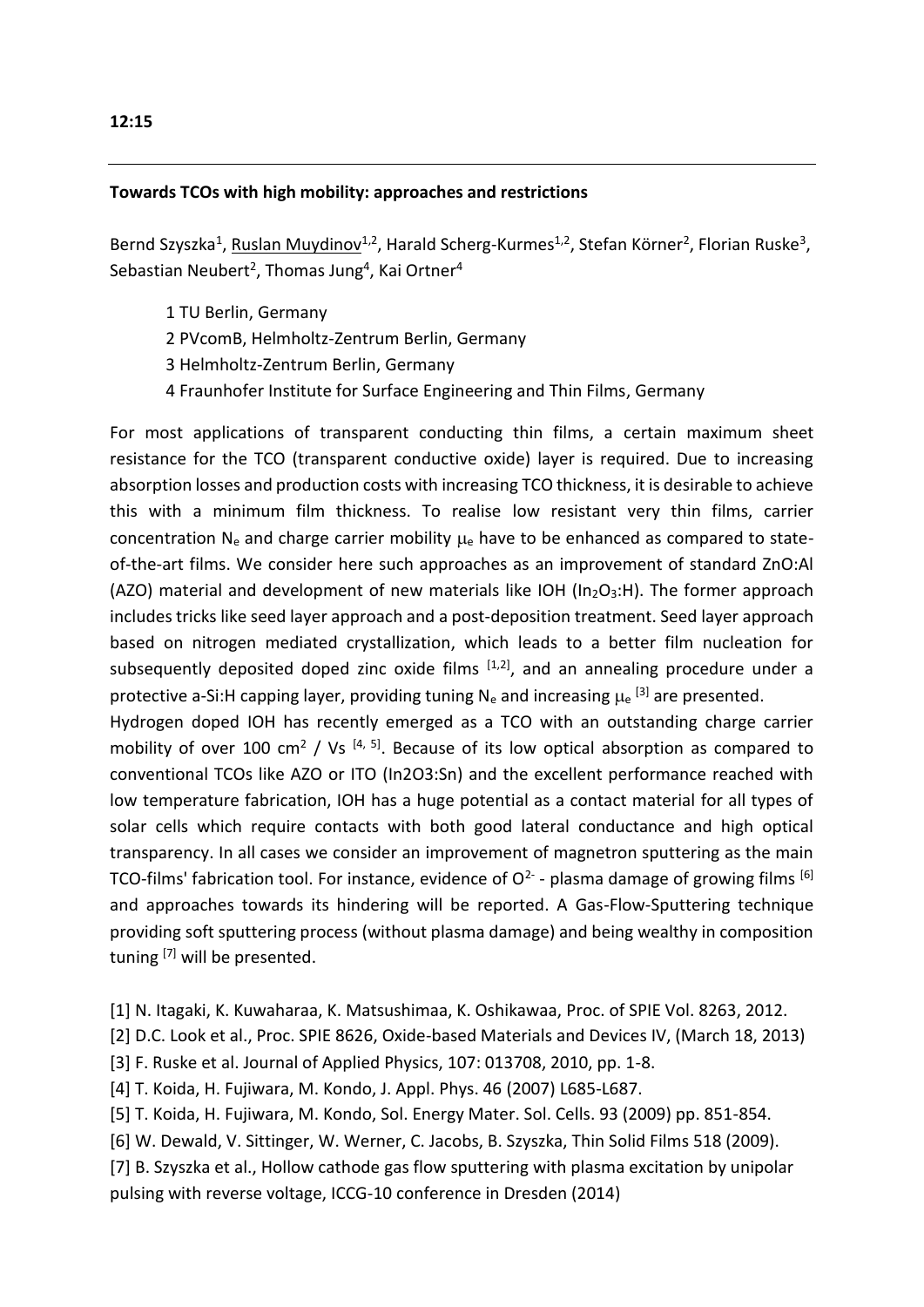### **Towards TCOs with high mobility: approaches and restrictions**

Bernd Szyszka<sup>1</sup>, Ruslan Muydinov<sup>1,2</sup>, Harald Scherg-Kurmes<sup>1,2</sup>, Stefan Körner<sup>2</sup>, Florian Ruske<sup>3</sup>, Sebastian Neubert<sup>2</sup>, Thomas Jung<sup>4</sup>, Kai Ortner<sup>4</sup>

- 1 TU Berlin, Germany
- 2 PVcomB, Helmholtz-Zentrum Berlin, Germany
- 3 Helmholtz-Zentrum Berlin, Germany
- 4 Fraunhofer Institute for Surface Engineering and Thin Films, Germany

For most applications of transparent conducting thin films, a certain maximum sheet resistance for the TCO (transparent conductive oxide) layer is required. Due to increasing absorption losses and production costs with increasing TCO thickness, it is desirable to achieve this with a minimum film thickness. To realise low resistant very thin films, carrier concentration  $N_e$  and charge carrier mobility  $\mu_e$  have to be enhanced as compared to stateof-the-art films. We consider here such approaches as an improvement of standard ZnO:Al (AZO) material and development of new materials like IOH ( $In_2O_3:H$ ). The former approach includes tricks like seed layer approach and a post-deposition treatment. Seed layer approach based on nitrogen mediated crystallization, which leads to a better film nucleation for subsequently deposited doped zinc oxide films <sup>[1,2]</sup>, and an annealing procedure under a protective a-Si:H capping layer, providing tuning N<sub>e</sub> and increasing  $\mu_e$  <sup>[3]</sup> are presented.

Hydrogen doped IOH has recently emerged as a TCO with an outstanding charge carrier mobility of over 100 cm<sup>2</sup> / Vs  $[4, 5]$ . Because of its low optical absorption as compared to conventional TCOs like AZO or ITO (In2O3:Sn) and the excellent performance reached with low temperature fabrication, IOH has a huge potential as a contact material for all types of solar cells which require contacts with both good lateral conductance and high optical transparency. In all cases we consider an improvement of magnetron sputtering as the main TCO-films' fabrication tool. For instance, evidence of O<sup>2-</sup> - plasma damage of growing films  $^{[6]}$ and approaches towards its hindering will be reported. A Gas-Flow-Sputtering technique providing soft sputtering process (without plasma damage) and being wealthy in composition tuning [7] will be presented.

- [1] N. Itagaki, K. Kuwaharaa, K. Matsushimaa, K. Oshikawaa, Proc. of SPIE Vol. 8263, 2012.
- [2] D.C. Look et al., Proc. SPIE 8626, Oxide-based Materials and Devices IV, (March 18, 2013)
- [3] F. Ruske et al. Journal of Applied Physics, 107: 013708, 2010, pp. 1-8.
- [4] T. Koida, H. Fujiwara, M. Kondo, J. Appl. Phys. 46 (2007) L685-L687.
- [5] T. Koida, H. Fujiwara, M. Kondo, Sol. Energy Mater. Sol. Cells. 93 (2009) pp. 851-854.
- [6] W. Dewald, V. Sittinger, W. Werner, C. Jacobs, B. Szyszka, Thin Solid Films 518 (2009).
- [7] B. Szyszka et al., Hollow cathode gas flow sputtering with plasma excitation by unipolar pulsing with reverse voltage, ICCG-10 conference in Dresden (2014)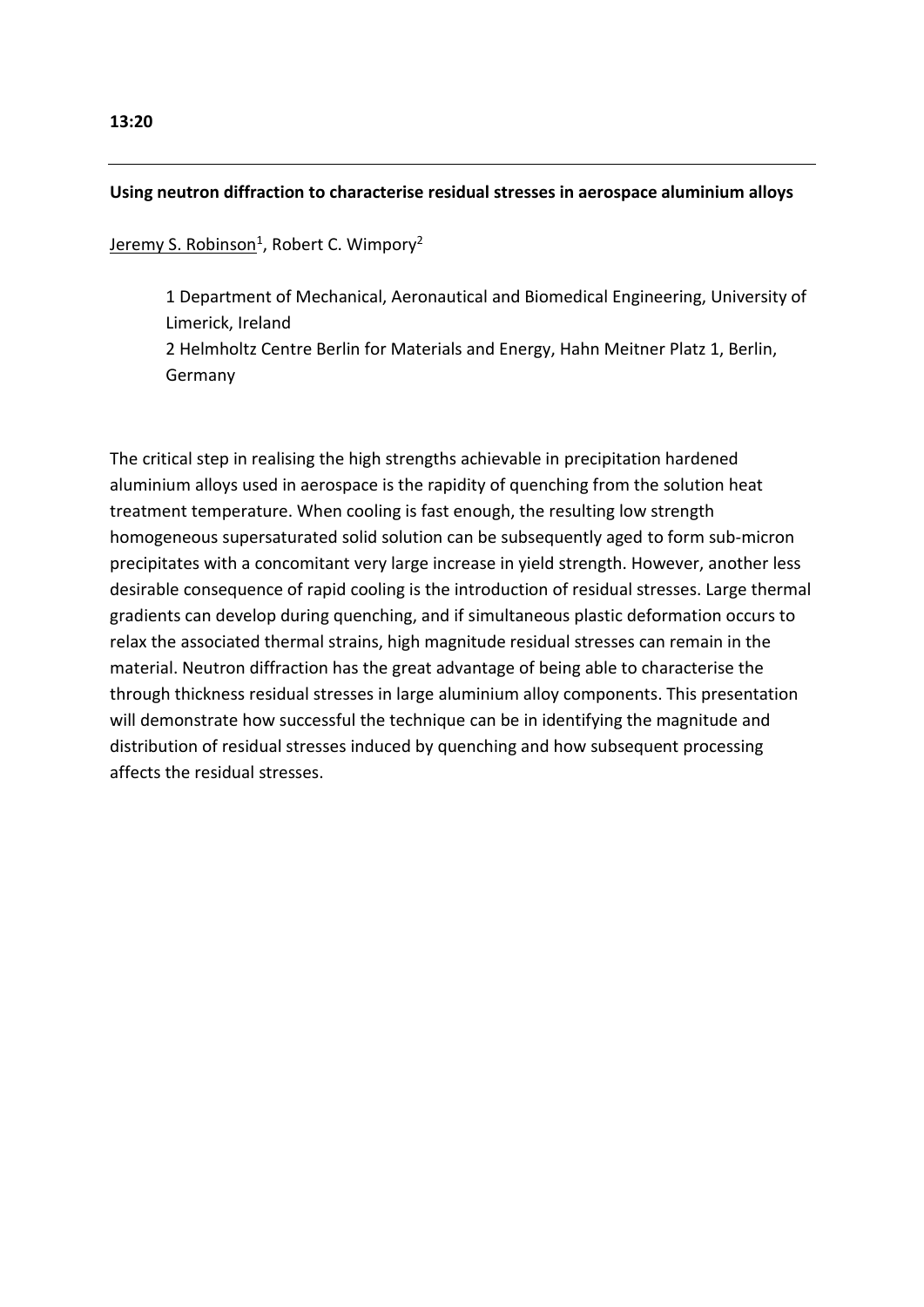## **Using neutron diffraction to characterise residual stresses in aerospace aluminium alloys**

<u>Jeremy S. Robinson<sup>1</sup>, Robert C. Wimpory<sup>2</sup></u>

1 Department of Mechanical, Aeronautical and Biomedical Engineering, University of Limerick, Ireland 2 Helmholtz Centre Berlin for Materials and Energy, Hahn Meitner Platz 1, Berlin, Germany

The critical step in realising the high strengths achievable in precipitation hardened aluminium alloys used in aerospace is the rapidity of quenching from the solution heat treatment temperature. When cooling is fast enough, the resulting low strength homogeneous supersaturated solid solution can be subsequently aged to form sub-micron precipitates with a concomitant very large increase in yield strength. However, another less desirable consequence of rapid cooling is the introduction of residual stresses. Large thermal gradients can develop during quenching, and if simultaneous plastic deformation occurs to relax the associated thermal strains, high magnitude residual stresses can remain in the material. Neutron diffraction has the great advantage of being able to characterise the through thickness residual stresses in large aluminium alloy components. This presentation will demonstrate how successful the technique can be in identifying the magnitude and distribution of residual stresses induced by quenching and how subsequent processing affects the residual stresses.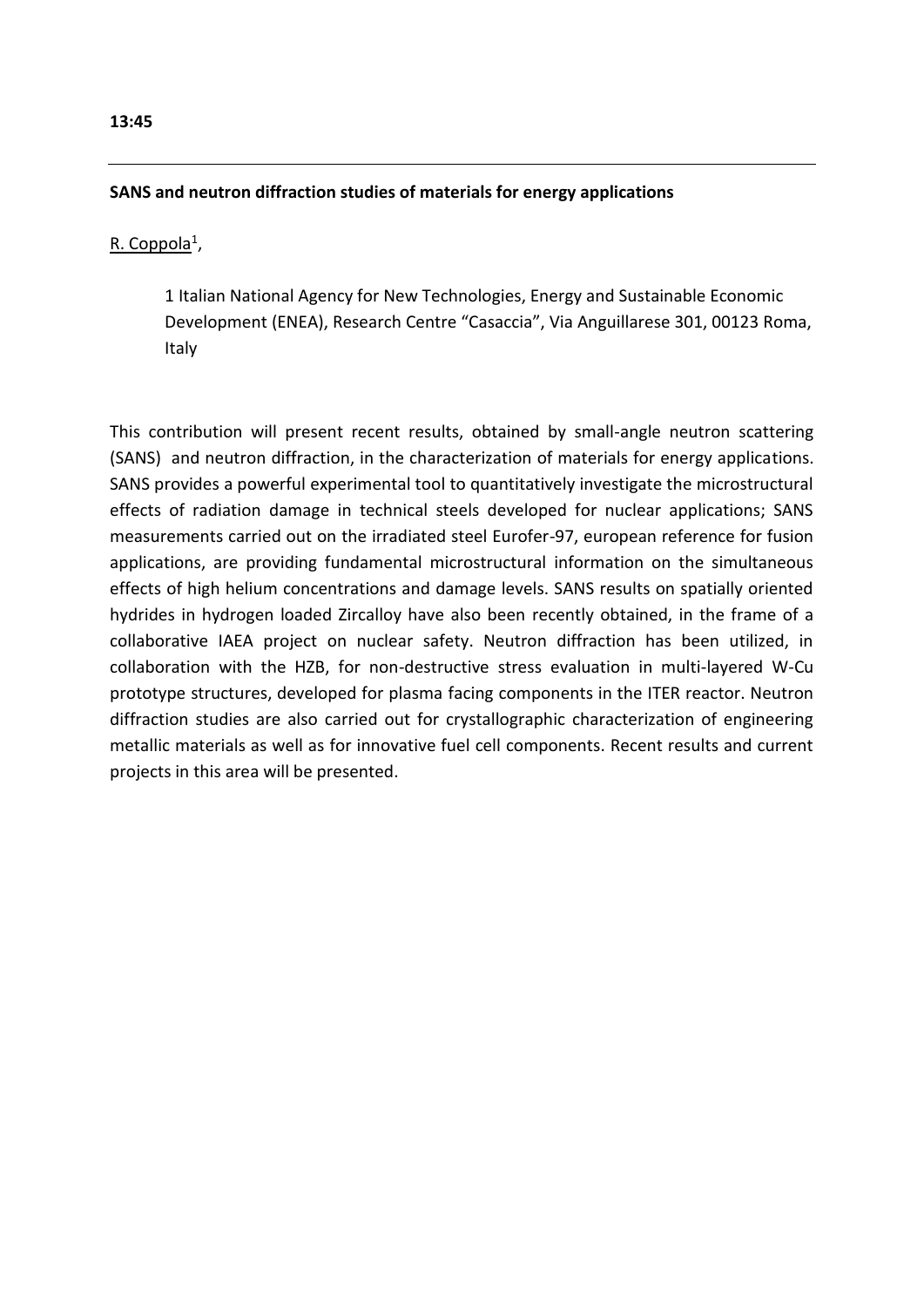# **SANS and neutron diffraction studies of materials for energy applications**

# R. Coppola<sup>1</sup>,

1 Italian National Agency for New Technologies, Energy and Sustainable Economic Development (ENEA), Research Centre "Casaccia", Via Anguillarese 301, 00123 Roma, Italy

This contribution will present recent results, obtained by small-angle neutron scattering (SANS) and neutron diffraction, in the characterization of materials for energy applications. SANS provides a powerful experimental tool to quantitatively investigate the microstructural effects of radiation damage in technical steels developed for nuclear applications; SANS measurements carried out on the irradiated steel Eurofer-97, european reference for fusion applications, are providing fundamental microstructural information on the simultaneous effects of high helium concentrations and damage levels. SANS results on spatially oriented hydrides in hydrogen loaded Zircalloy have also been recently obtained, in the frame of a collaborative IAEA project on nuclear safety. Neutron diffraction has been utilized, in collaboration with the HZB, for non-destructive stress evaluation in multi-layered W-Cu prototype structures, developed for plasma facing components in the ITER reactor. Neutron diffraction studies are also carried out for crystallographic characterization of engineering metallic materials as well as for innovative fuel cell components. Recent results and current projects in this area will be presented.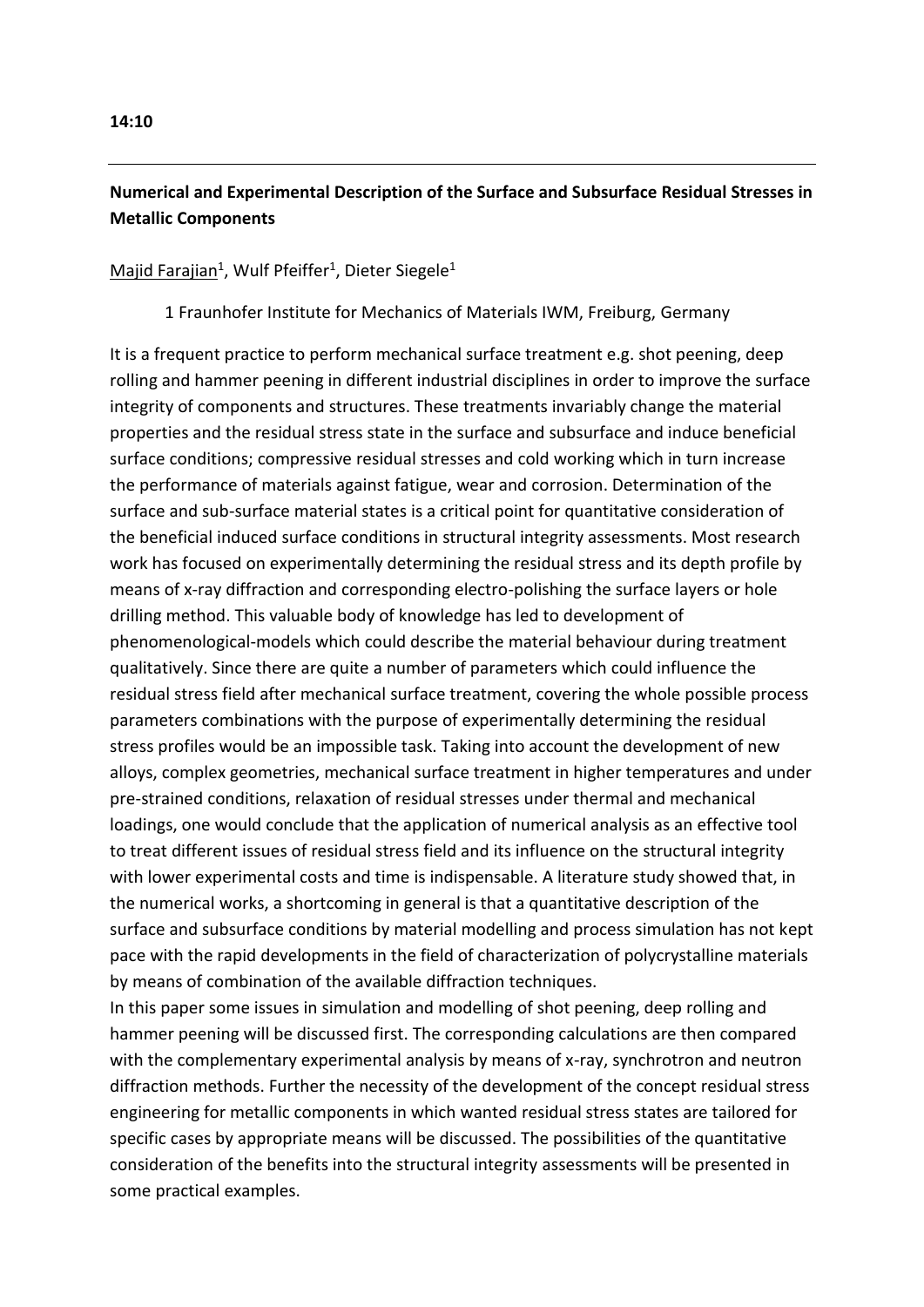# **Numerical and Experimental Description of the Surface and Subsurface Residual Stresses in Metallic Components**

# Majid Farajian<sup>1</sup>, Wulf Pfeiffer<sup>1</sup>, Dieter Siegele<sup>1</sup>

1 Fraunhofer Institute for Mechanics of Materials IWM, Freiburg, Germany

It is a frequent practice to perform mechanical surface treatment e.g. shot peening, deep rolling and hammer peening in different industrial disciplines in order to improve the surface integrity of components and structures. These treatments invariably change the material properties and the residual stress state in the surface and subsurface and induce beneficial surface conditions; compressive residual stresses and cold working which in turn increase the performance of materials against fatigue, wear and corrosion. Determination of the surface and sub-surface material states is a critical point for quantitative consideration of the beneficial induced surface conditions in structural integrity assessments. Most research work has focused on experimentally determining the residual stress and its depth profile by means of x-ray diffraction and corresponding electro-polishing the surface layers or hole drilling method. This valuable body of knowledge has led to development of phenomenological-models which could describe the material behaviour during treatment qualitatively. Since there are quite a number of parameters which could influence the residual stress field after mechanical surface treatment, covering the whole possible process parameters combinations with the purpose of experimentally determining the residual stress profiles would be an impossible task. Taking into account the development of new alloys, complex geometries, mechanical surface treatment in higher temperatures and under pre-strained conditions, relaxation of residual stresses under thermal and mechanical loadings, one would conclude that the application of numerical analysis as an effective tool to treat different issues of residual stress field and its influence on the structural integrity with lower experimental costs and time is indispensable. A literature study showed that, in the numerical works, a shortcoming in general is that a quantitative description of the surface and subsurface conditions by material modelling and process simulation has not kept pace with the rapid developments in the field of characterization of polycrystalline materials by means of combination of the available diffraction techniques.

In this paper some issues in simulation and modelling of shot peening, deep rolling and hammer peening will be discussed first. The corresponding calculations are then compared with the complementary experimental analysis by means of x-ray, synchrotron and neutron diffraction methods. Further the necessity of the development of the concept residual stress engineering for metallic components in which wanted residual stress states are tailored for specific cases by appropriate means will be discussed. The possibilities of the quantitative consideration of the benefits into the structural integrity assessments will be presented in some practical examples.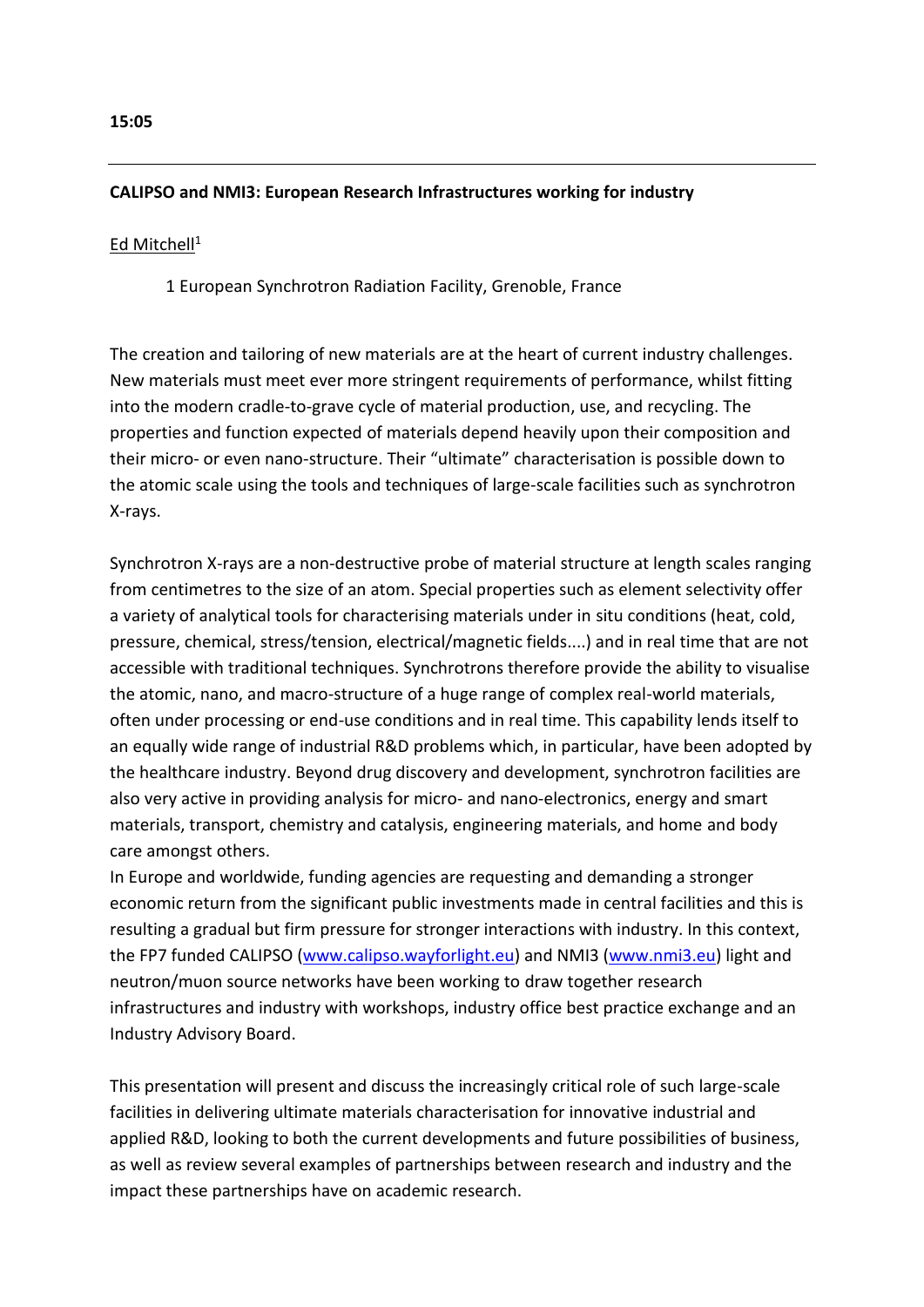### **CALIPSO and NMI3: European Research Infrastructures working for industry**

#### Ed Mitchell<sup>1</sup>

1 European Synchrotron Radiation Facility, Grenoble, France

The creation and tailoring of new materials are at the heart of current industry challenges. New materials must meet ever more stringent requirements of performance, whilst fitting into the modern cradle-to-grave cycle of material production, use, and recycling. The properties and function expected of materials depend heavily upon their composition and their micro- or even nano-structure. Their "ultimate" characterisation is possible down to the atomic scale using the tools and techniques of large-scale facilities such as synchrotron X-rays.

Synchrotron X-rays are a non-destructive probe of material structure at length scales ranging from centimetres to the size of an atom. Special properties such as element selectivity offer a variety of analytical tools for characterising materials under in situ conditions (heat, cold, pressure, chemical, stress/tension, electrical/magnetic fields....) and in real time that are not accessible with traditional techniques. Synchrotrons therefore provide the ability to visualise the atomic, nano, and macro-structure of a huge range of complex real-world materials, often under processing or end-use conditions and in real time. This capability lends itself to an equally wide range of industrial R&D problems which, in particular, have been adopted by the healthcare industry. Beyond drug discovery and development, synchrotron facilities are also very active in providing analysis for micro- and nano-electronics, energy and smart materials, transport, chemistry and catalysis, engineering materials, and home and body care amongst others.

In Europe and worldwide, funding agencies are requesting and demanding a stronger economic return from the significant public investments made in central facilities and this is resulting a gradual but firm pressure for stronger interactions with industry. In this context, the FP7 funded CALIPSO [\(www.calipso.wayforlight.eu\)](http://www.calipso.wayforlight.eu/) and NMI3 [\(www.nmi3.eu\)](http://www.nmi3.eu/) light and neutron/muon source networks have been working to draw together research infrastructures and industry with workshops, industry office best practice exchange and an Industry Advisory Board.

This presentation will present and discuss the increasingly critical role of such large-scale facilities in delivering ultimate materials characterisation for innovative industrial and applied R&D, looking to both the current developments and future possibilities of business, as well as review several examples of partnerships between research and industry and the impact these partnerships have on academic research.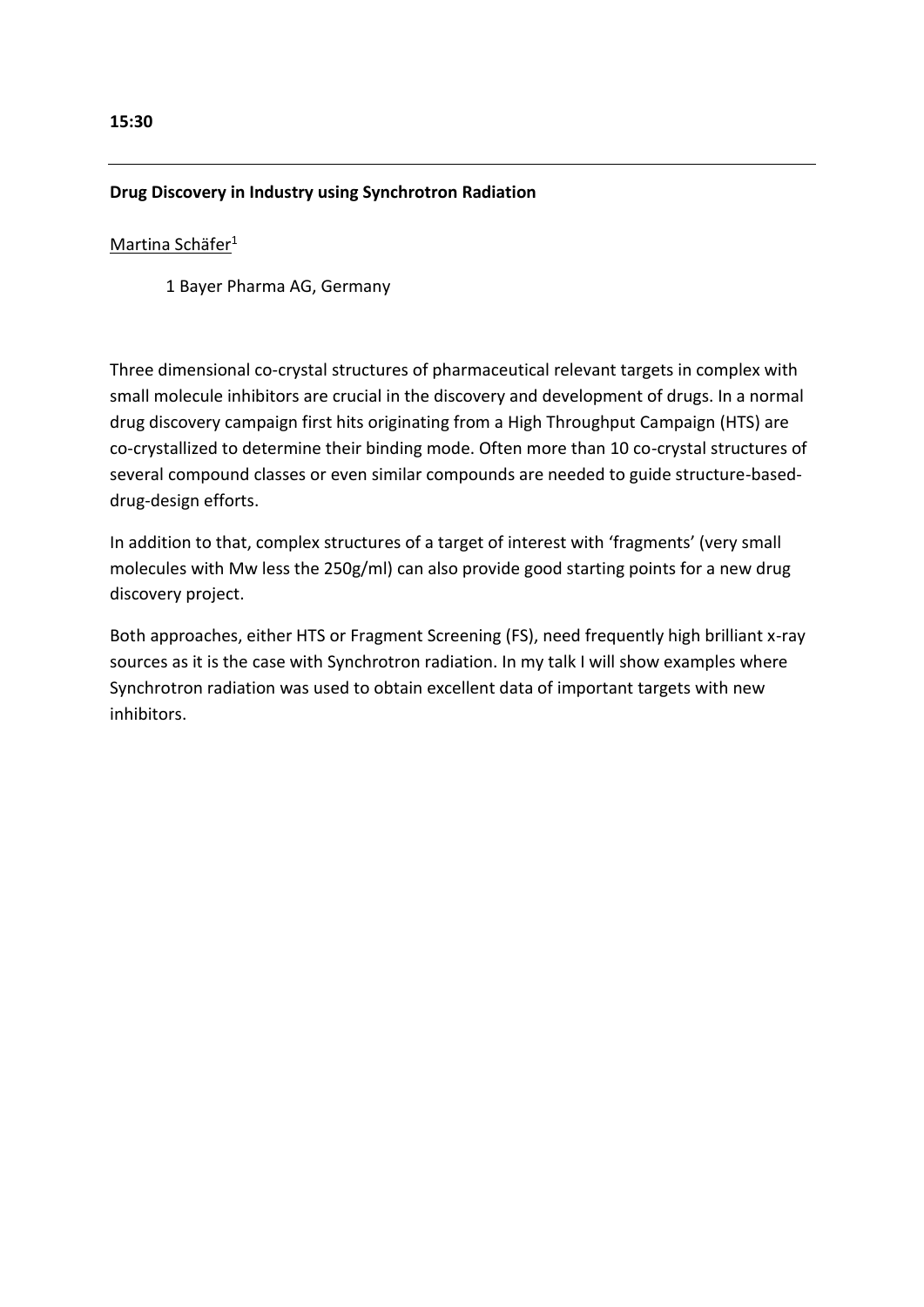#### **15:30**

#### **Drug Discovery in Industry using Synchrotron Radiation**

#### Martina Schäfer<sup>1</sup>

1 Bayer Pharma AG, Germany

Three dimensional co-crystal structures of pharmaceutical relevant targets in complex with small molecule inhibitors are crucial in the discovery and development of drugs. In a normal drug discovery campaign first hits originating from a High Throughput Campaign (HTS) are co-crystallized to determine their binding mode. Often more than 10 co-crystal structures of several compound classes or even similar compounds are needed to guide structure-baseddrug-design efforts.

In addition to that, complex structures of a target of interest with 'fragments' (very small molecules with Mw less the 250g/ml) can also provide good starting points for a new drug discovery project.

Both approaches, either HTS or Fragment Screening (FS), need frequently high brilliant x-ray sources as it is the case with Synchrotron radiation. In my talk I will show examples where Synchrotron radiation was used to obtain excellent data of important targets with new inhibitors.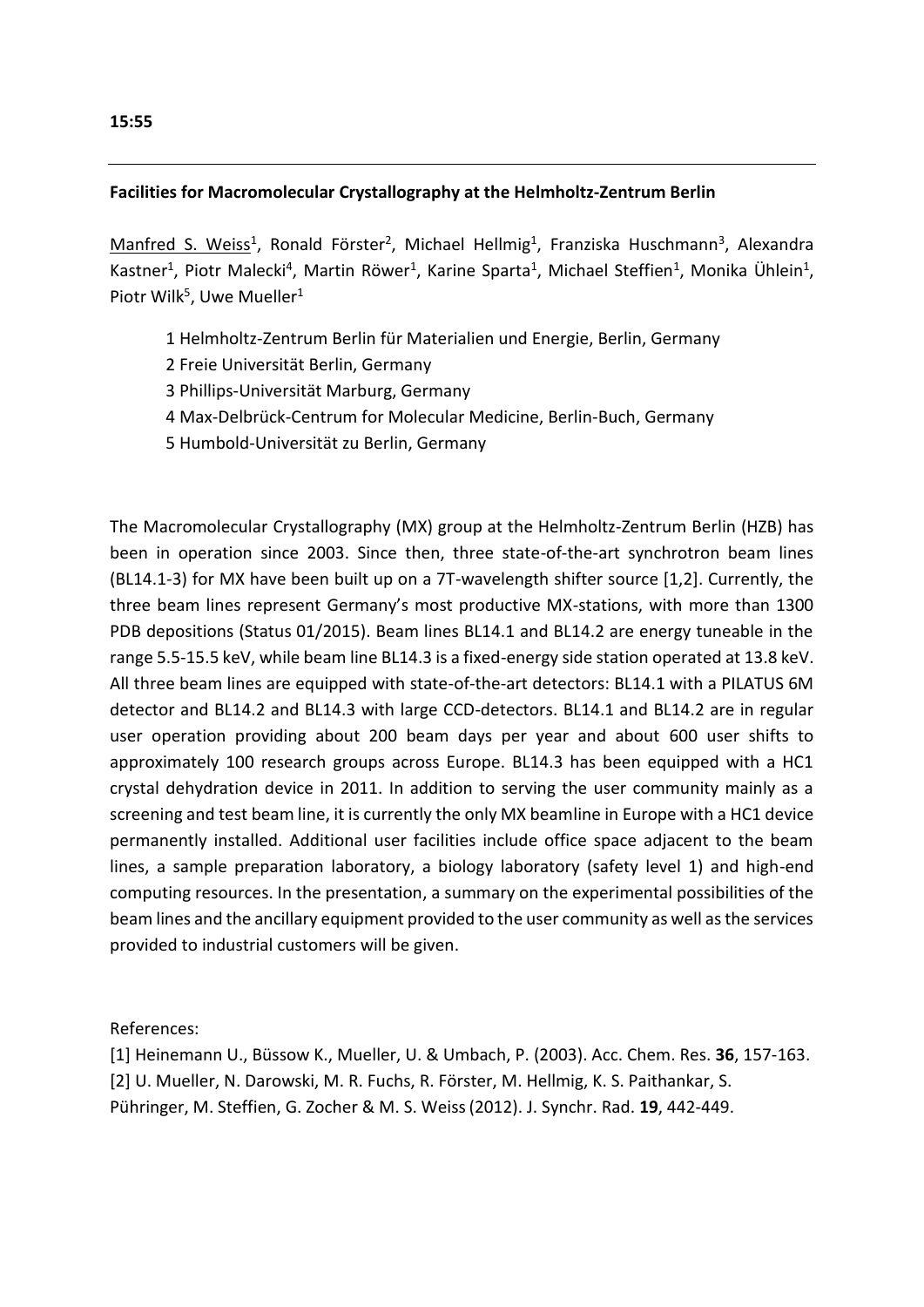# **Facilities for Macromolecular Crystallography at the Helmholtz-Zentrum Berlin**

Manfred S. Weiss<sup>1</sup>, Ronald Förster<sup>2</sup>, Michael Hellmig<sup>1</sup>, Franziska Huschmann<sup>3</sup>, Alexandra Kastner<sup>1</sup>, Piotr Malecki<sup>4</sup>, Martin Röwer<sup>1</sup>, Karine Sparta<sup>1</sup>, Michael Steffien<sup>1</sup>, Monika Ühlein<sup>1</sup>, Piotr Wilk<sup>5</sup>, Uwe Mueller<sup>1</sup>

- 1 Helmholtz-Zentrum Berlin für Materialien und Energie, Berlin, Germany
- 2 Freie Universität Berlin, Germany
- 3 Phillips-Universität Marburg, Germany
- 4 Max-Delbrück-Centrum for Molecular Medicine, Berlin-Buch, Germany
- 5 Humbold-Universität zu Berlin, Germany

The Macromolecular Crystallography (MX) group at the Helmholtz-Zentrum Berlin (HZB) has been in operation since 2003. Since then, three state-of-the-art synchrotron beam lines (BL14.1-3) for MX have been built up on a 7T-wavelength shifter source [1,2]. Currently, the three beam lines represent Germany's most productive MX-stations, with more than 1300 PDB depositions (Status 01/2015). Beam lines BL14.1 and BL14.2 are energy tuneable in the range 5.5-15.5 keV, while beam line BL14.3 is a fixed-energy side station operated at 13.8 keV. All three beam lines are equipped with state-of-the-art detectors: BL14.1 with a PILATUS 6M detector and BL14.2 and BL14.3 with large CCD-detectors. BL14.1 and BL14.2 are in regular user operation providing about 200 beam days per year and about 600 user shifts to approximately 100 research groups across Europe. BL14.3 has been equipped with a HC1 crystal dehydration device in 2011. In addition to serving the user community mainly as a screening and test beam line, it is currently the only MX beamline in Europe with a HC1 device permanently installed. Additional user facilities include office space adjacent to the beam lines, a sample preparation laboratory, a biology laboratory (safety level 1) and high-end computing resources. In the presentation, a summary on the experimental possibilities of the beam lines and the ancillary equipment provided to the user community as well as the services provided to industrial customers will be given.

References:

[1] Heinemann U., Büssow K., Mueller, U. & Umbach, P. (2003). Acc. Chem. Res. **36**, 157-163. [2] U. Mueller, N. Darowski, M. R. Fuchs, R. Förster, M. Hellmig, K. S. Paithankar, S. Pühringer, M. Steffien, G. Zocher & M. S. Weiss(2012). J. Synchr. Rad. **19**, 442-449.